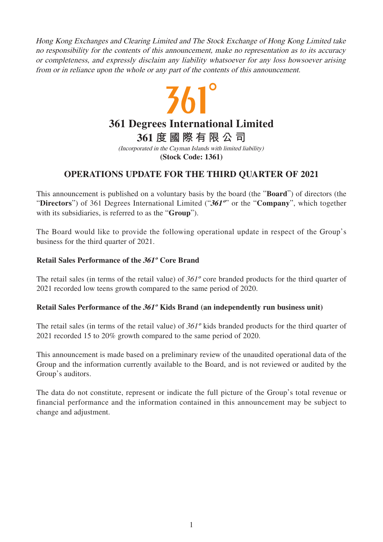Hong Kong Exchanges and Clearing Limited and The Stock Exchange of Hong Kong Limited take no responsibility for the contents of this announcement, make no representation as to its accuracy or completeness, and expressly disclaim any liability whatsoever for any loss howsoever arising from or in reliance upon the whole or any part of the contents of this announcement.

## $361^\circ$ **361 Degrees International Limited 361 度國際有限公司** (Incorporated in the Cayman Islands with limited liability)

**(Stock Code: 1361)**

## **OPERATIONS UPDATE FOR THE THIRD QUARTER OF 2021**

This announcement is published on a voluntary basis by the board (the "**Board**") of directors (the "**Directors**") of 361 Degrees International Limited ("**361º**" or the "**Company**", which together with its subsidiaries, is referred to as the "**Group**").

The Board would like to provide the following operational update in respect of the Group's business for the third quarter of 2021.

## **Retail Sales Performance of the 361º Core Brand**

The retail sales (in terms of the retail value) of  $361^\circ$  core branded products for the third quarter of 2021 recorded low teens growth compared to the same period of 2020.

## **Retail Sales Performance of the 361º Kids Brand (an independently run business unit)**

The retail sales (in terms of the retail value) of 361º kids branded products for the third quarter of 2021 recorded 15 to 20% growth compared to the same period of 2020.

This announcement is made based on a preliminary review of the unaudited operational data of the Group and the information currently available to the Board, and is not reviewed or audited by the Group's auditors.

The data do not constitute, represent or indicate the full picture of the Group's total revenue or financial performance and the information contained in this announcement may be subject to change and adjustment.